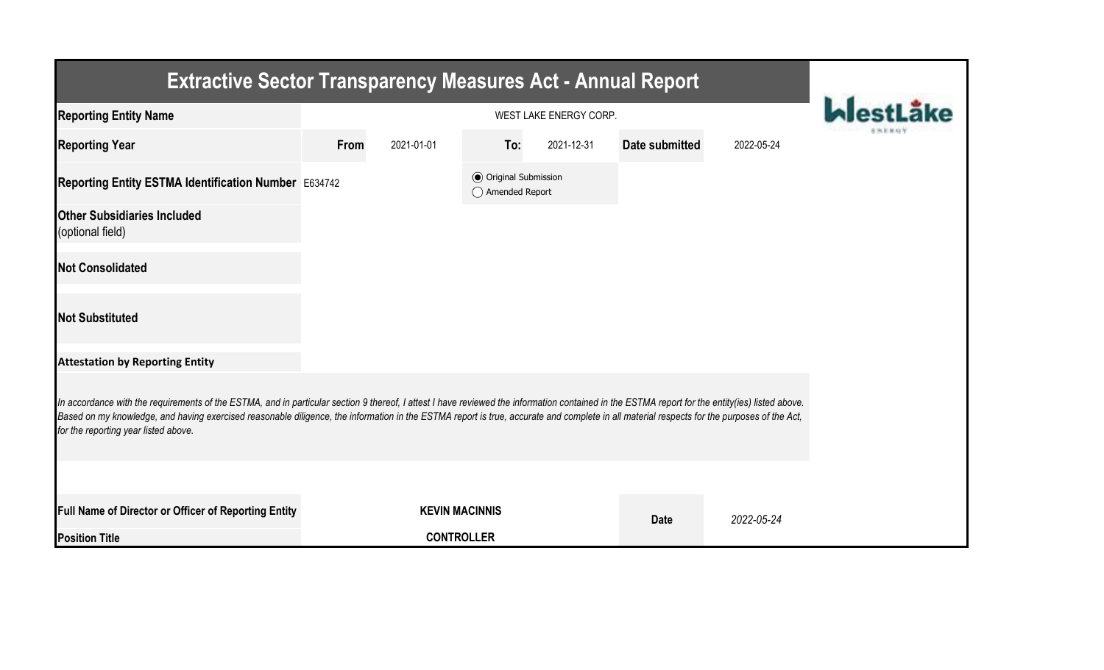| <b>Extractive Sector Transparency Measures Act - Annual Report</b>                                                                                                                                                                                                                                                                                                                                                                    |      |                       |                                                  |            |                |            |  |  |  |  |
|---------------------------------------------------------------------------------------------------------------------------------------------------------------------------------------------------------------------------------------------------------------------------------------------------------------------------------------------------------------------------------------------------------------------------------------|------|-----------------------|--------------------------------------------------|------------|----------------|------------|--|--|--|--|
| <b>Reporting Entity Name</b>                                                                                                                                                                                                                                                                                                                                                                                                          |      |                       |                                                  |            |                |            |  |  |  |  |
| <b>Reporting Year</b>                                                                                                                                                                                                                                                                                                                                                                                                                 | From | 2021-01-01            | To:                                              | 2021-12-31 | Date submitted | 2022-05-24 |  |  |  |  |
| Reporting Entity ESTMA Identification Number E634742                                                                                                                                                                                                                                                                                                                                                                                  |      |                       | <b>◎</b> Original Submission<br>◯ Amended Report |            |                |            |  |  |  |  |
| <b>Other Subsidiaries Included</b><br>(optional field)                                                                                                                                                                                                                                                                                                                                                                                |      |                       |                                                  |            |                |            |  |  |  |  |
| <b>Not Consolidated</b>                                                                                                                                                                                                                                                                                                                                                                                                               |      |                       |                                                  |            |                |            |  |  |  |  |
| <b>Not Substituted</b>                                                                                                                                                                                                                                                                                                                                                                                                                |      |                       |                                                  |            |                |            |  |  |  |  |
| <b>Attestation by Reporting Entity</b>                                                                                                                                                                                                                                                                                                                                                                                                |      |                       |                                                  |            |                |            |  |  |  |  |
| In accordance with the requirements of the ESTMA, and in particular section 9 thereof, I attest I have reviewed the information contained in the ESTMA report for the entity(ies) listed above.<br>Based on my knowledge, and having exercised reasonable diligence, the information in the ESTMA report is true, accurate and complete in all material respects for the purposes of the Act,<br>for the reporting year listed above. |      |                       |                                                  |            |                |            |  |  |  |  |
|                                                                                                                                                                                                                                                                                                                                                                                                                                       |      |                       |                                                  |            |                |            |  |  |  |  |
| Full Name of Director or Officer of Reporting Entity                                                                                                                                                                                                                                                                                                                                                                                  |      | <b>KEVIN MACINNIS</b> |                                                  |            | <b>Date</b>    | 2022-05-24 |  |  |  |  |
| <b>Position Title</b>                                                                                                                                                                                                                                                                                                                                                                                                                 |      | <b>CONTROLLER</b>     |                                                  |            |                |            |  |  |  |  |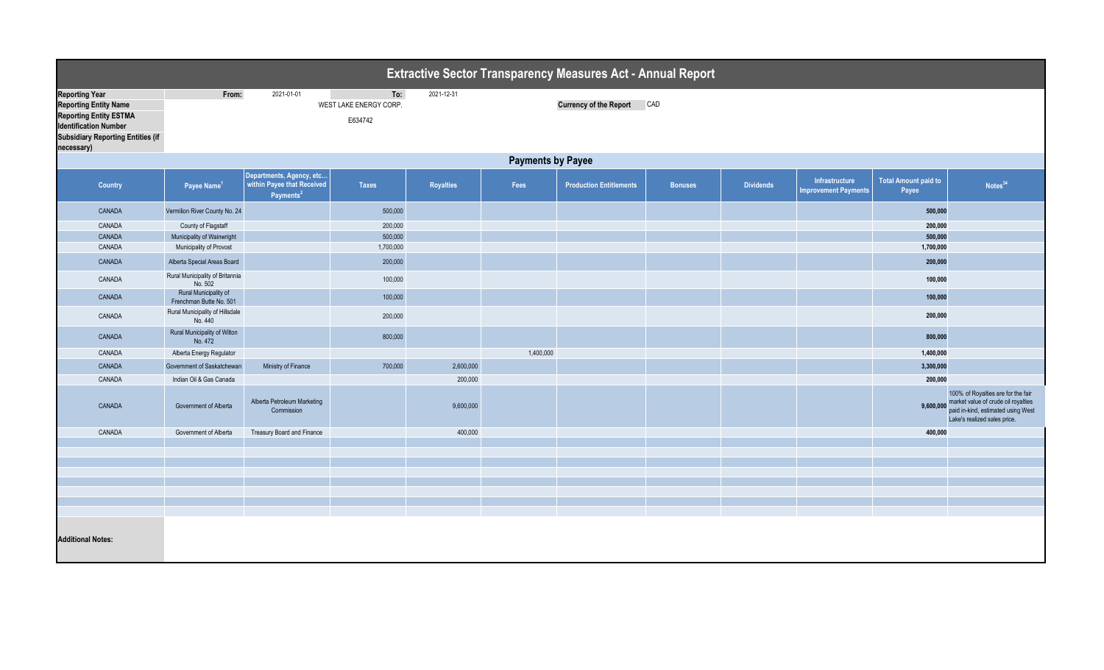|                                                                                                                                                                                  | <b>Extractive Sector Transparency Measures Act - Annual Report</b> |                                                                                 |                                          |                  |           |                                |                |                  |                                               |                                      |                                                                                                                                                 |  |
|----------------------------------------------------------------------------------------------------------------------------------------------------------------------------------|--------------------------------------------------------------------|---------------------------------------------------------------------------------|------------------------------------------|------------------|-----------|--------------------------------|----------------|------------------|-----------------------------------------------|--------------------------------------|-------------------------------------------------------------------------------------------------------------------------------------------------|--|
| <b>Reporting Year</b><br><b>Reporting Entity Name</b><br><b>Reporting Entity ESTMA</b><br><b>Identification Number</b><br><b>Subsidiary Reporting Entities (if</b><br>necessary) | From:                                                              | 2021-01-01                                                                      | To:<br>WEST LAKE ENERGY CORP.<br>E634742 | 2021-12-31       |           | <b>Currency of the Report</b>  | CAD            |                  |                                               |                                      |                                                                                                                                                 |  |
|                                                                                                                                                                                  | <b>Payments by Payee</b>                                           |                                                                                 |                                          |                  |           |                                |                |                  |                                               |                                      |                                                                                                                                                 |  |
| <b>Country</b>                                                                                                                                                                   | Payee Name <sup>1</sup>                                            | Departments, Agency, etc<br>within Payee that Received<br>Payments <sup>2</sup> | <b>Taxes</b>                             | <b>Royalties</b> | Fees      | <b>Production Entitlements</b> | <b>Bonuses</b> | <b>Dividends</b> | Infrastructure<br><b>Improvement Payments</b> | <b>Total Amount paid to</b><br>Payee | Notes <sup>34</sup>                                                                                                                             |  |
| CANADA                                                                                                                                                                           | Vermilion River County No. 24                                      |                                                                                 | 500,000                                  |                  |           |                                |                |                  |                                               | 500,000                              |                                                                                                                                                 |  |
| CANADA                                                                                                                                                                           | County of Flagstaff                                                |                                                                                 | 200,000                                  |                  |           |                                |                |                  |                                               | 200,000                              |                                                                                                                                                 |  |
| CANADA                                                                                                                                                                           | Municipality of Wainwright                                         |                                                                                 | 500,000                                  |                  |           |                                |                |                  |                                               | 500,000                              |                                                                                                                                                 |  |
| CANADA                                                                                                                                                                           | Municipality of Provost                                            |                                                                                 | 1,700,000                                |                  |           |                                |                |                  |                                               | 1,700,000                            |                                                                                                                                                 |  |
| CANADA                                                                                                                                                                           | Alberta Special Areas Board                                        |                                                                                 | 200,000                                  |                  |           |                                |                |                  |                                               | 200,000                              |                                                                                                                                                 |  |
| CANADA                                                                                                                                                                           | Rural Municipality of Britannia<br>No. 502                         |                                                                                 | 100,000                                  |                  |           |                                |                |                  |                                               | 100,000                              |                                                                                                                                                 |  |
| CANADA                                                                                                                                                                           | Rural Municipality of<br>Frenchman Butte No. 501                   |                                                                                 | 100,000                                  |                  |           |                                |                |                  |                                               | 100,000                              |                                                                                                                                                 |  |
| CANADA                                                                                                                                                                           | Rural Municipality of Hillsdale<br>No. 440                         |                                                                                 | 200,000                                  |                  |           |                                |                |                  |                                               | 200,000                              |                                                                                                                                                 |  |
| CANADA                                                                                                                                                                           | Rural Municipality of Wilton<br>No. 472                            |                                                                                 | 800,000                                  |                  |           |                                |                |                  |                                               | 800,000                              |                                                                                                                                                 |  |
| CANADA                                                                                                                                                                           | Alberta Energy Regulator                                           |                                                                                 |                                          |                  | 1,400,000 |                                |                |                  |                                               | 1,400,000                            |                                                                                                                                                 |  |
| CANADA                                                                                                                                                                           | Government of Saskatchewan                                         | Ministry of Finance                                                             | 700,000                                  | 2,600,000        |           |                                |                |                  |                                               | 3,300,000                            |                                                                                                                                                 |  |
| CANADA                                                                                                                                                                           | Indian Oil & Gas Canada                                            |                                                                                 |                                          | 200,000          |           |                                |                |                  |                                               | 200,000                              |                                                                                                                                                 |  |
| CANADA                                                                                                                                                                           | Government of Alberta                                              | Alberta Petroleum Marketing<br>Commission                                       |                                          | 9,600,000        |           |                                |                |                  |                                               | 9,600,000                            | 100% of Royalties are for the fair<br>market value of crude oil royalties<br>paid in-kind, estimated using West<br>Lake's realized sales price. |  |
| CANADA                                                                                                                                                                           | Government of Alberta                                              | Treasury Board and Finance                                                      |                                          | 400,000          |           |                                |                |                  |                                               | 400,000                              |                                                                                                                                                 |  |
|                                                                                                                                                                                  |                                                                    |                                                                                 |                                          |                  |           |                                |                |                  |                                               |                                      |                                                                                                                                                 |  |
|                                                                                                                                                                                  |                                                                    |                                                                                 |                                          |                  |           |                                |                |                  |                                               |                                      |                                                                                                                                                 |  |
|                                                                                                                                                                                  |                                                                    |                                                                                 |                                          |                  |           |                                |                |                  |                                               |                                      |                                                                                                                                                 |  |
|                                                                                                                                                                                  |                                                                    |                                                                                 |                                          |                  |           |                                |                |                  |                                               |                                      |                                                                                                                                                 |  |
|                                                                                                                                                                                  |                                                                    |                                                                                 |                                          |                  |           |                                |                |                  |                                               |                                      |                                                                                                                                                 |  |
|                                                                                                                                                                                  |                                                                    |                                                                                 |                                          |                  |           |                                |                |                  |                                               |                                      |                                                                                                                                                 |  |
| <b>Additional Notes:</b>                                                                                                                                                         |                                                                    |                                                                                 |                                          |                  |           |                                |                |                  |                                               |                                      |                                                                                                                                                 |  |